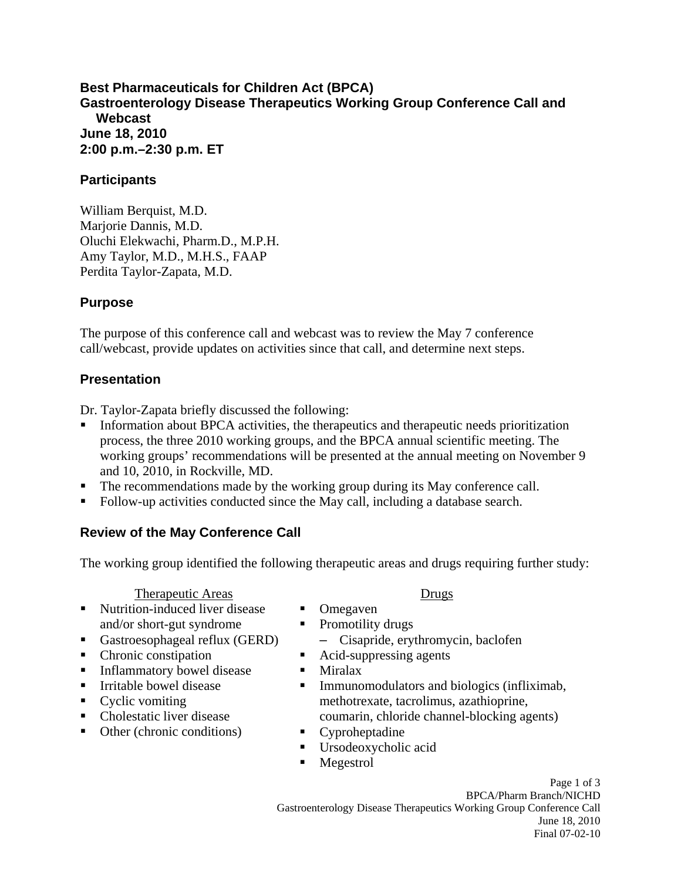**Best Pharmaceuticals for Children Act (BPCA) Gastroenterology Disease Therapeutics Working Group Conference Call and Webcast June 18, 2010 2:00 p.m.–2:30 p.m. ET** 

### **Participants**

William Berquist, M.D. Marjorie Dannis, M.D. Oluchi Elekwachi, Pharm.D., M.P.H. Amy Taylor, M.D., M.H.S., FAAP Perdita Taylor-Zapata, M.D.

# **Purpose**

The purpose of this conference call and webcast was to review the May 7 conference call/webcast, provide updates on activities since that call, and determine next steps.

# **Presentation**

Dr. Taylor-Zapata briefly discussed the following:

- **Information about BPCA activities, the therapeutics and therapeutic needs prioritization** process, the three 2010 working groups, and the BPCA annual scientific meeting. The working groups' recommendations will be presented at the annual meeting on November 9 and 10, 2010, in Rockville, MD.
- The recommendations made by the working group during its May conference call.
- Follow-up activities conducted since the May call, including a database search.

# **Review of the May Conference Call**

The working group identified the following therapeutic areas and drugs requiring further study:

Therapeutic Areas

- Nutrition-induced liver disease and/or short-gut syndrome
- Gastroesophageal reflux (GERD)
- Chronic constipation
- **Inflammatory bowel disease**
- **I**rritable bowel disease
- Cyclic vomiting
- Cholestatic liver disease
- Other (chronic conditions)

#### Drugs

- **Omegaven**
- $\blacksquare$ Promotility drugs

– Cisapride, erythromycin, baclofen

- Acid-suppressing agents
- Miralax
- **Immunomodulators and biologics (infliximab,** methotrexate, tacrolimus, azathioprine, coumarin, chloride channel-blocking agents)
- Cyproheptadine
- Ursodeoxycholic acid
- **Megestrol**

Page 1 of 3 BPCA/Pharm Branch/NICHD Gastroenterology Disease Therapeutics Working Group Conference Call June 18, 2010 Final 07-02-10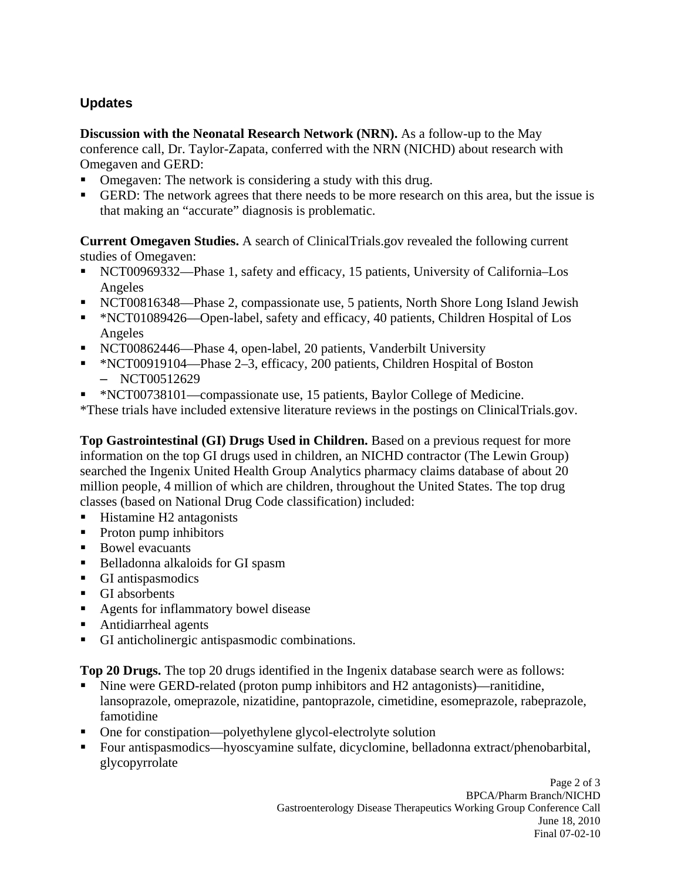# **Updates**

**Discussion with the Neonatal Research Network (NRN).** As a follow-up to the May conference call, Dr. Taylor-Zapata, conferred with the NRN (NICHD) about research with Omegaven and GERD:

- . Omegaven: The network is considering a study with this drug.
- GERD: The network agrees that there needs to be more research on this area, but the issue is that making an "accurate" diagnosis is problematic.

**Current Omegaven Studies.** A search of ClinicalTrials.gov revealed the following current studies of Omegaven:

- NCT00969332—Phase 1, safety and efficacy, 15 patients, University of California–Los Angeles
- NCT00816348—Phase 2, compassionate use, 5 patients, North Shore Long Island Jewish
- \* NCT01089426—Open-label, safety and efficacy, 40 patients, Children Hospital of Los Angeles
- NCT00862446—Phase 4, open-label, 20 patients, Vanderbilt University
- \*NCT00919104—Phase 2–3, efficacy, 200 patients, Children Hospital of Boston – NCT00512629
- \*NCT00738101—compassionate use, 15 patients, Baylor College of Medicine.

\*These trials have included extensive literature reviews in the postings on ClinicalTrials.gov.

**Top Gastrointestinal (GI) Drugs Used in Children.** Based on a previous request for more information on the top GI drugs used in children, an NICHD contractor (The Lewin Group) searched the Ingenix United Health Group Analytics pharmacy claims database of about 20 million people, 4 million of which are children, throughout the United States. The top drug classes (based on National Drug Code classification) included:

- $\blacksquare$ Histamine H2 antagonists
- $\mathbf{r}$ Proton pump inhibitors
- Bowel evacuants
- **Belladonna alkaloids for GI spasm**
- GI antispasmodics
- GI absorbents
- Agents for inflammatory bowel disease
- $\blacksquare$ Antidiarrheal agents
- $\blacksquare$ GI anticholinergic antispasmodic combinations.

**Top 20 Drugs.** The top 20 drugs identified in the Ingenix database search were as follows:

- Nine were GERD-related (proton pump inhibitors and H2 antagonists)—ranitidine, lansoprazole, omeprazole, nizatidine, pantoprazole, cimetidine, esomeprazole, rabeprazole, famotidine
- One for constipation—polyethylene glycol-electrolyte solution
- . Four antispasmodics—hyoscyamine sulfate, dicyclomine, belladonna extract/phenobarbital, glycopyrrolate